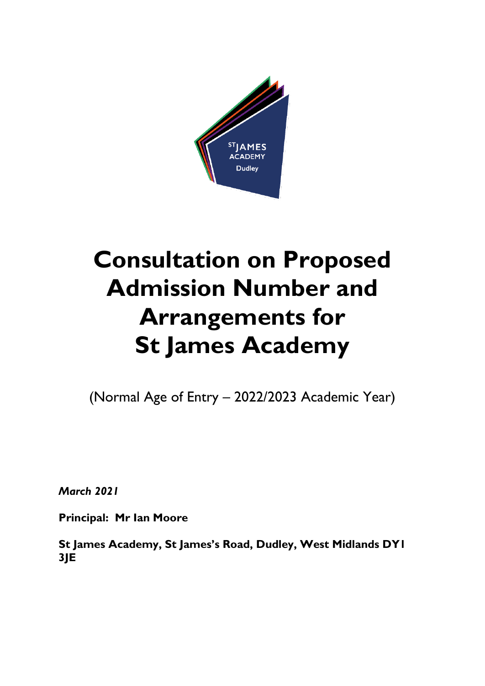

# **Consultation on Proposed Admission Number and Arrangements for St James Academy**

(Normal Age of Entry – 2022/2023 Academic Year)

*March 2021*

**Principal: Mr Ian Moore**

**St James Academy, St James's Road, Dudley, West Midlands DY1 3JE**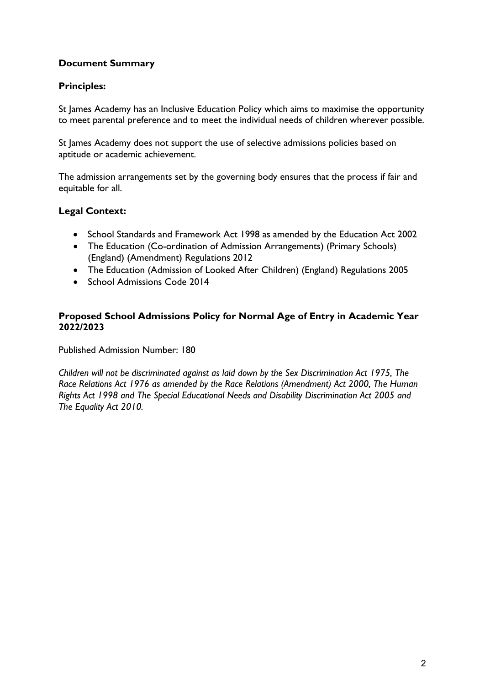# **Document Summary**

## **Principles:**

St James Academy has an Inclusive Education Policy which aims to maximise the opportunity to meet parental preference and to meet the individual needs of children wherever possible.

St James Academy does not support the use of selective admissions policies based on aptitude or academic achievement.

The admission arrangements set by the governing body ensures that the process if fair and equitable for all.

### **Legal Context:**

- School Standards and Framework Act 1998 as amended by the Education Act 2002
- The Education (Co-ordination of Admission Arrangements) (Primary Schools) (England) (Amendment) Regulations 2012
- The Education (Admission of Looked After Children) (England) Regulations 2005
- School Admissions Code 2014

## **Proposed School Admissions Policy for Normal Age of Entry in Academic Year 2022/2023**

Published Admission Number: 180

*Children will not be discriminated against as laid down by the Sex Discrimination Act 1975, The Race Relations Act 1976 as amended by the Race Relations (Amendment) Act 2000, The Human Rights Act 1998 and The Special Educational Needs and Disability Discrimination Act 2005 and The Equality Act 2010.*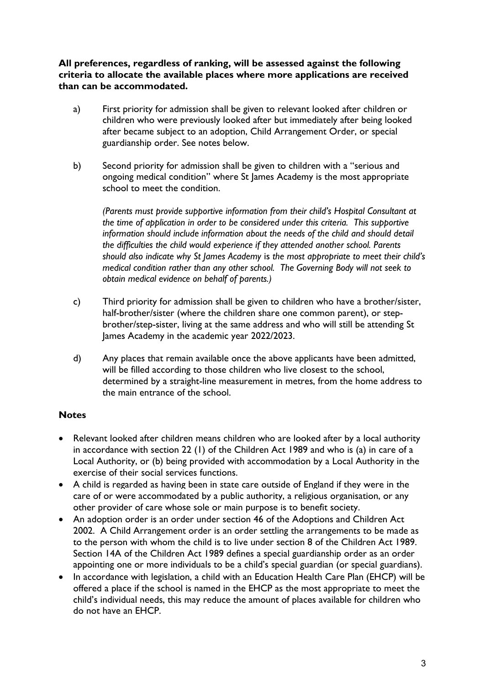**All preferences, regardless of ranking, will be assessed against the following criteria to allocate the available places where more applications are received than can be accommodated.**

- a) First priority for admission shall be given to relevant looked after children or children who were previously looked after but immediately after being looked after became subject to an adoption, Child Arrangement Order, or special guardianship order. See notes below.
- b) Second priority for admission shall be given to children with a "serious and ongoing medical condition" where St James Academy is the most appropriate school to meet the condition.

*(Parents must provide supportive information from their child's Hospital Consultant at the time of application in order to be considered under this criteria. This supportive information should include information about the needs of the child and should detail the difficulties the child would experience if they attended another school. Parents should also indicate why St James Academy* is *the most appropriate to meet their child's medical condition rather than any other school. The Governing Body will not seek to obtain medical evidence on behalf of parents.)*

- c) Third priority for admission shall be given to children who have a brother/sister, half-brother/sister (where the children share one common parent), or stepbrother/step-sister, living at the same address and who will still be attending St James Academy in the academic year 2022/2023.
- d) Any places that remain available once the above applicants have been admitted, will be filled according to those children who live closest to the school, determined by a straight-line measurement in metres, from the home address to the main entrance of the school.

## **Notes**

- Relevant looked after children means children who are looked after by a local authority in accordance with section 22 (1) of the Children Act 1989 and who is (a) in care of a Local Authority, or (b) being provided with accommodation by a Local Authority in the exercise of their social services functions.
- A child is regarded as having been in state care outside of England if they were in the care of or were accommodated by a public authority, a religious organisation, or any other provider of care whose sole or main purpose is to benefit society.
- An adoption order is an order under section 46 of the Adoptions and Children Act 2002. A Child Arrangement order is an order settling the arrangements to be made as to the person with whom the child is to live under section 8 of the Children Act 1989. Section 14A of the Children Act 1989 defines a special guardianship order as an order appointing one or more individuals to be a child's special guardian (or special guardians).
- In accordance with legislation, a child with an Education Health Care Plan (EHCP) will be offered a place if the school is named in the EHCP as the most appropriate to meet the child's individual needs, this may reduce the amount of places available for children who do not have an EHCP.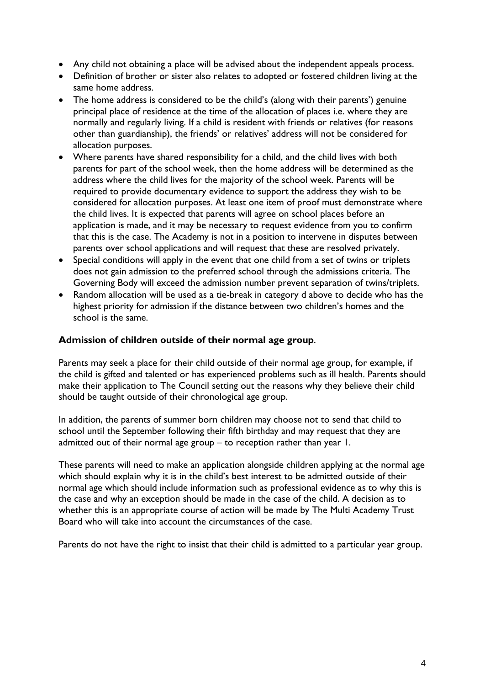- Any child not obtaining a place will be advised about the independent appeals process.
- Definition of brother or sister also relates to adopted or fostered children living at the same home address.
- The home address is considered to be the child's (along with their parents') genuine principal place of residence at the time of the allocation of places i.e. where they are normally and regularly living. If a child is resident with friends or relatives (for reasons other than guardianship), the friends' or relatives' address will not be considered for allocation purposes.
- Where parents have shared responsibility for a child, and the child lives with both parents for part of the school week, then the home address will be determined as the address where the child lives for the majority of the school week. Parents will be required to provide documentary evidence to support the address they wish to be considered for allocation purposes. At least one item of proof must demonstrate where the child lives. It is expected that parents will agree on school places before an application is made, and it may be necessary to request evidence from you to confirm that this is the case. The Academy is not in a position to intervene in disputes between parents over school applications and will request that these are resolved privately.
- Special conditions will apply in the event that one child from a set of twins or triplets does not gain admission to the preferred school through the admissions criteria. The Governing Body will exceed the admission number prevent separation of twins/triplets.
- Random allocation will be used as a tie-break in category d above to decide who has the highest priority for admission if the distance between two children's homes and the school is the same.

### **Admission of children outside of their normal age group**.

Parents may seek a place for their child outside of their normal age group, for example, if the child is gifted and talented or has experienced problems such as ill health. Parents should make their application to The Council setting out the reasons why they believe their child should be taught outside of their chronological age group.

In addition, the parents of summer born children may choose not to send that child to school until the September following their fifth birthday and may request that they are admitted out of their normal age group – to reception rather than year 1.

These parents will need to make an application alongside children applying at the normal age which should explain why it is in the child's best interest to be admitted outside of their normal age which should include information such as professional evidence as to why this is the case and why an exception should be made in the case of the child. A decision as to whether this is an appropriate course of action will be made by The Multi Academy Trust Board who will take into account the circumstances of the case.

Parents do not have the right to insist that their child is admitted to a particular year group.